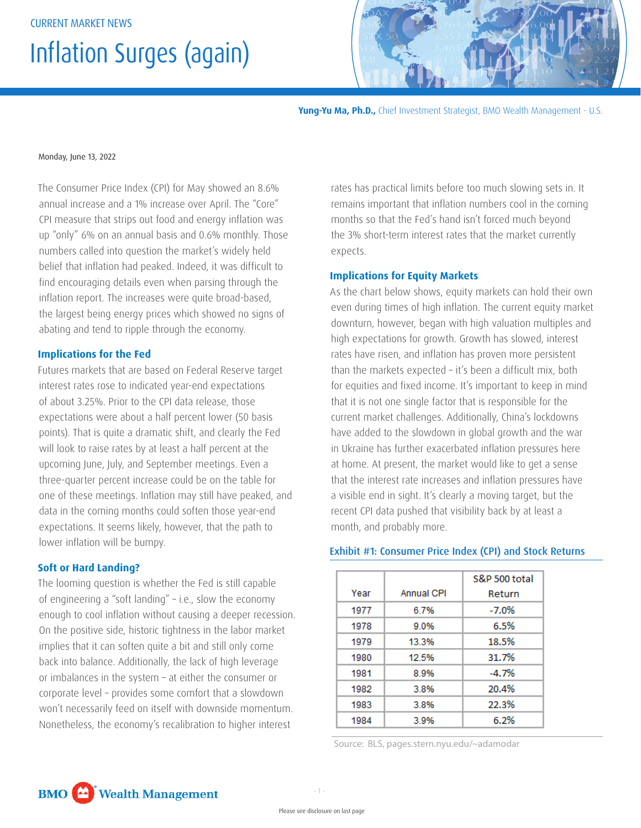# Inflation Surges (again)



**Yung-Yu Ma, Ph.D.,** Chief Investment Strategist, BMO Wealth Management - U.S.

#### Monday, June 13, 2022

The Consumer Price Index (CPI) for May showed an 8.6% annual increase and a 1% increase over April. The "Core" CPI measure that strips out food and energy inflation was up "only" 6% on an annual basis and 0.6% monthly. Those numbers called into question the market's widely held belief that inflation had peaked. Indeed, it was difficult to find encouraging details even when parsing through the inflation report. The increases were quite broad-based, the largest being energy prices which showed no signs of abating and tend to ripple through the economy.

#### **Implications for the Fed**

Futures markets that are based on Federal Reserve target interest rates rose to indicated year-end expectations of about 3.25%. Prior to the CPI data release, those expectations were about a half percent lower (50 basis points). That is quite a dramatic shift, and clearly the Fed will look to raise rates by at least a half percent at the upcoming June, July, and September meetings. Even a three-quarter percent increase could be on the table for one of these meetings. Inflation may still have peaked, and data in the coming months could soften those year-end expectations. It seems likely, however, that the path to lower inflation will be bumpy.

#### **Soft or Hard Landing?**

The looming question is whether the Fed is still capable of engineering a "soft landing" – i.e., slow the economy enough to cool inflation without causing a deeper recession. On the positive side, historic tightness in the labor market implies that it can soften quite a bit and still only come back into balance. Additionally, the lack of high leverage or imbalances in the system – at either the consumer or corporate level – provides some comfort that a slowdown won't necessarily feed on itself with downside momentum. Nonetheless, the economy's recalibration to higher interest

rates has practical limits before too much slowing sets in. It remains important that inflation numbers cool in the coming months so that the Fed's hand isn't forced much beyond the 3% short-term interest rates that the market currently expects.

### **Implications for Equity Markets**

As the chart below shows, equity markets can hold their own even during times of high inflation. The current equity market downturn, however, began with high valuation multiples and high expectations for growth. Growth has slowed, interest rates have risen, and inflation has proven more persistent than the markets expected – it's been a difficult mix, both for equities and fixed income. It's important to keep in mind that it is not one single factor that is responsible for the current market challenges. Additionally, China's lockdowns have added to the slowdown in global growth and the war in Ukraine has further exacerbated inflation pressures here at home. At present, the market would like to get a sense that the interest rate increases and inflation pressures have a visible end in sight. It's clearly a moving target, but the recent CPI data pushed that visibility back by at least a month, and probably more.

#### Exhibit #1: Consumer Price Index (CPI) and Stock Returns

|      |            | S&P 500 total |
|------|------------|---------------|
| Year | Annual CPI | Return        |
| 1977 | 6.7%       | $-7.0%$       |
| 1978 | 9.0%       | 6.5%          |
| 1979 | 13.3%      | 18.5%         |
| 1980 | 12.5%      | 31.7%         |
| 1981 | 8.9%       | $-4.7%$       |
| 1982 | 3.8%       | 20.4%         |
| 1983 | 3.8%       | 22.3%         |
| 1984 | 3.9%       | 6.2%          |

Source: BLS, pages.stern.nyu.edu/~adamodar